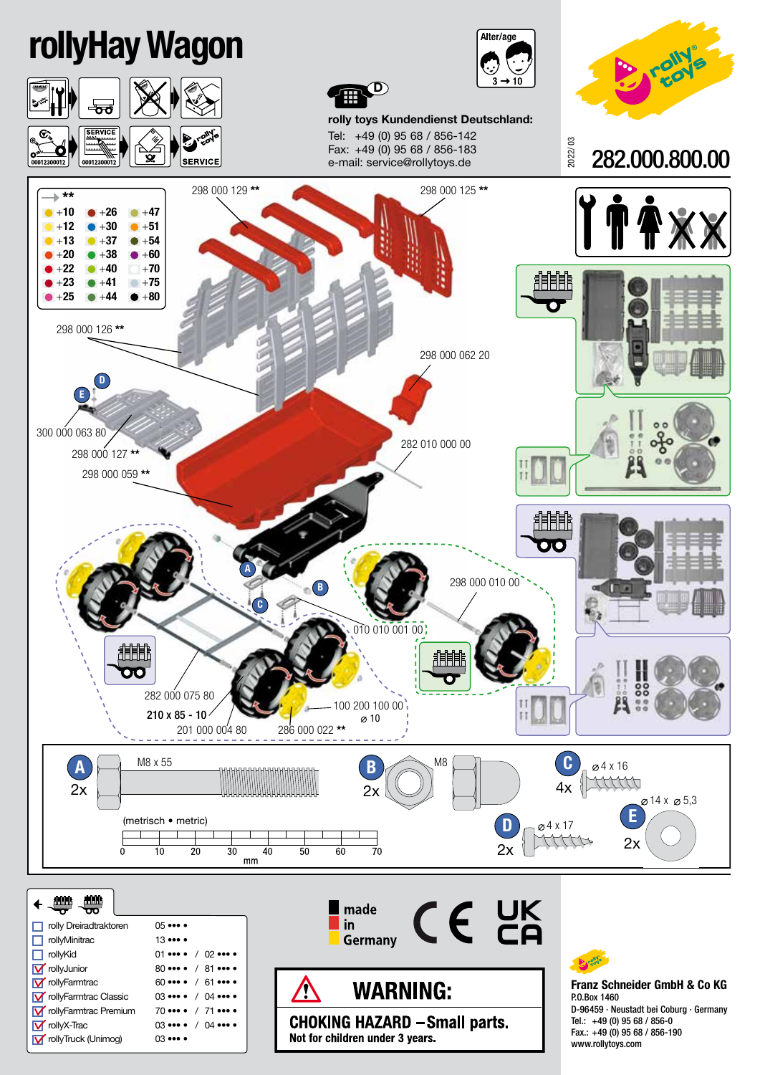